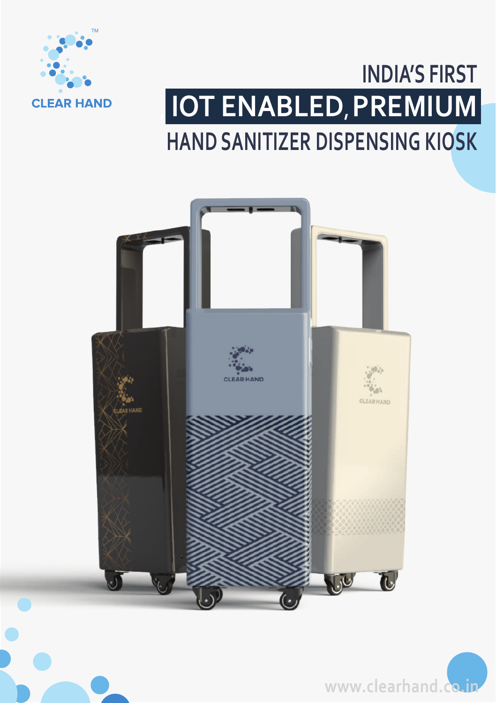

# **INDIA'S FIRST , IOT ENABLED, PREMIUM HAND SANITIZER DISPENSING KIOSK**





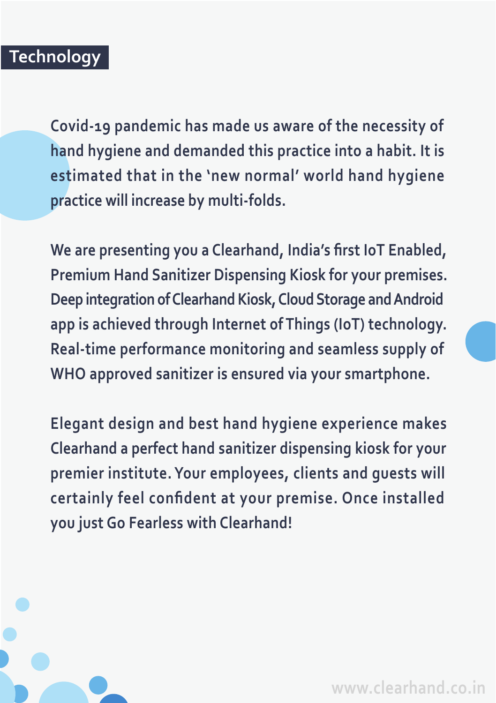### **Technology**

**Covid-19 pandemic has made us aware of the necessity of hand hygiene and demanded this practice into a habit. It is estimated that in the 'new normal' world hand hygiene practice will increase by multi-folds.**

**We are presenting you a Clearhand, India's first IoT Enabled, Premium Hand Sanitizer Dispensing Kiosk for your premises. Deep integration of Clearhand Kiosk, Cloud Storage and Android app is achieved through Internet of Things (IoT) technology. Real-time performance monitoring and seamless supply of WHO approved sanitizer is ensured via your smartphone.**

**Elegant design and best hand hygiene experience makes Clearhand a perfect hand sanitizer dispensing kiosk for your premier institute. Your employees, clients and guests will certainly feel confident at your premise. Once installed you just Go Fearless with Clearhand!**

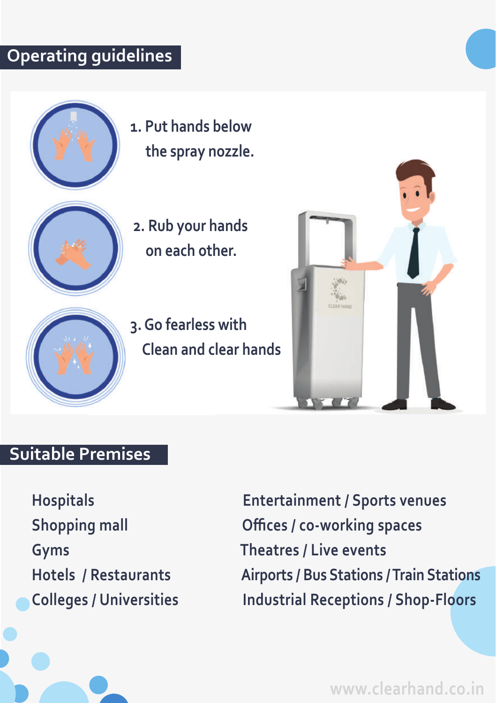### **Operating guidelines**



**1. Put hands below the spray nozzle.**



 **2. Rub your hands on each other.**





#### **Suitable Premises**

**Hospitals Entertainment / Sports venues Shopping mall Offices / co-working spaces Gyms Theatres / Live events Hotels / Restaurants Airports / Bus Stations / Train Stations Colleges / Universities Industrial Receptions / Shop-Floors**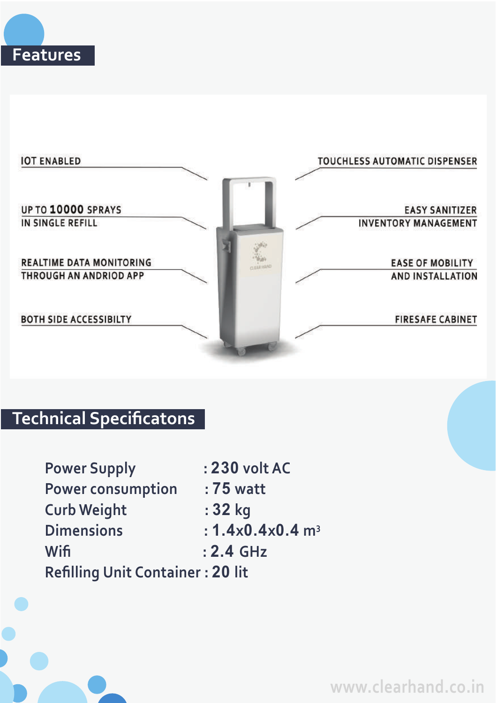



## **Technical Specificatons**

| <b>Power Supply</b>                     | : 230 volt AC                  |
|-----------------------------------------|--------------------------------|
| Power consumption                       | : 75 watt                      |
| <b>Curb Weight</b>                      | : 32 kg                        |
| <b>Dimensions</b>                       | : $1.4x0.4x0.4$ m <sup>3</sup> |
| Wifi                                    | $: 2.4$ GHz                    |
| <b>Refilling Unit Container: 20 lit</b> |                                |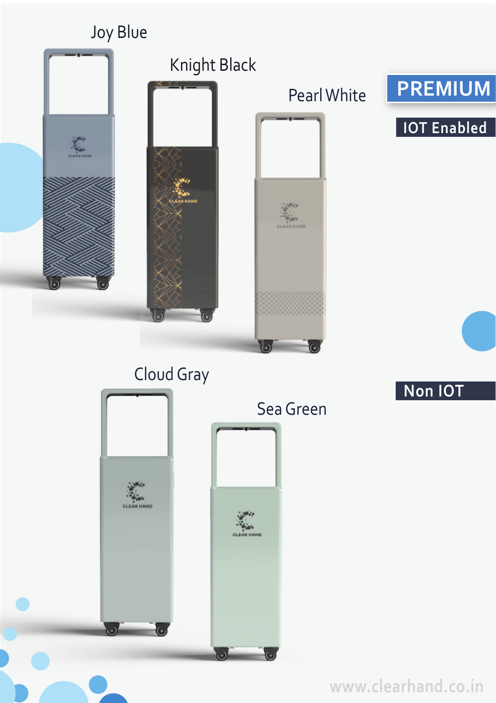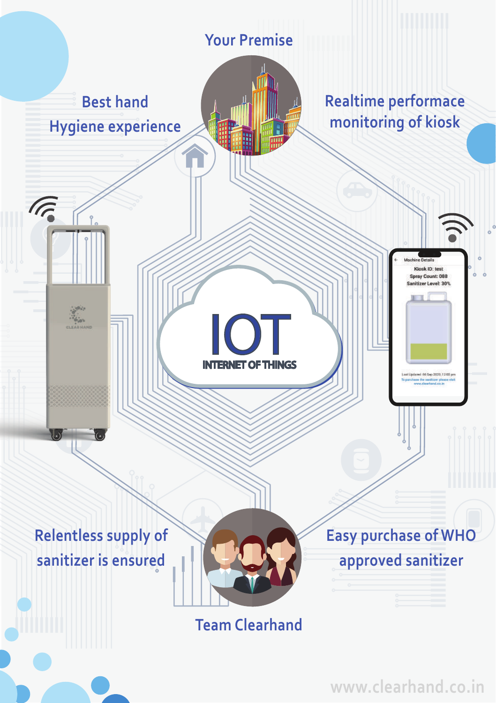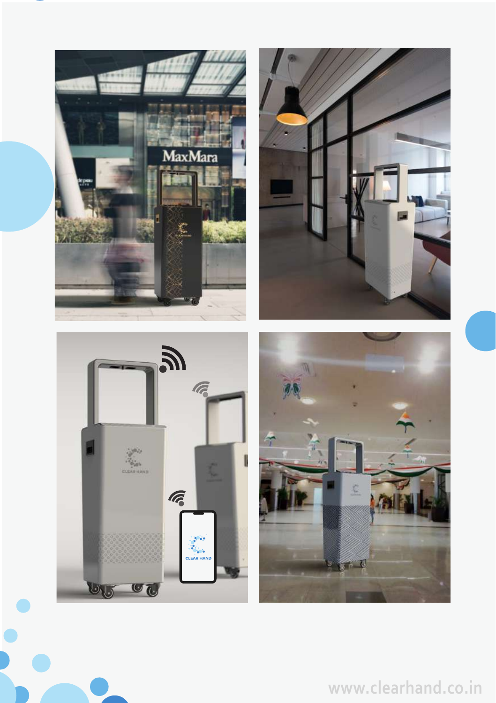